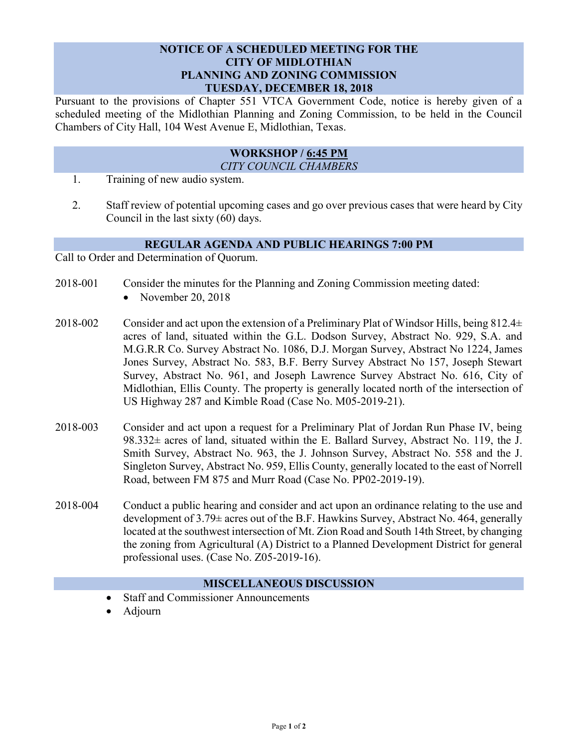## **NOTICE OF A SCHEDULED MEETING FOR THE CITY OF MIDLOTHIAN PLANNING AND ZONING COMMISSION TUESDAY, DECEMBER 18, 2018**

Pursuant to the provisions of Chapter 551 VTCA Government Code, notice is hereby given of a scheduled meeting of the Midlothian Planning and Zoning Commission, to be held in the Council Chambers of City Hall, 104 West Avenue E, Midlothian, Texas.

## **WORKSHOP / 6:45 PM** *CITY COUNCIL CHAMBERS*

- 1. Training of new audio system.
- 2. Staff review of potential upcoming cases and go over previous cases that were heard by City Council in the last sixty (60) days.

## **REGULAR AGENDA AND PUBLIC HEARINGS 7:00 PM**

Call to Order and Determination of Quorum.

- 2018-001 Consider the minutes for the Planning and Zoning Commission meeting dated:
	- November 20, 2018
- 2018-002 Consider and act upon the extension of a Preliminary Plat of Windsor Hills, being  $812.4\pm$ acres of land, situated within the G.L. Dodson Survey, Abstract No. 929, S.A. and M.G.R.R Co. Survey Abstract No. 1086, D.J. Morgan Survey, Abstract No 1224, James Jones Survey, Abstract No. 583, B.F. Berry Survey Abstract No 157, Joseph Stewart Survey, Abstract No. 961, and Joseph Lawrence Survey Abstract No. 616, City of Midlothian, Ellis County. The property is generally located north of the intersection of US Highway 287 and Kimble Road (Case No. M05-2019-21).
- 2018-003 Consider and act upon a request for a Preliminary Plat of Jordan Run Phase IV, being  $98.332\pm$  acres of land, situated within the E. Ballard Survey, Abstract No. 119, the J. Smith Survey, Abstract No. 963, the J. Johnson Survey, Abstract No. 558 and the J. Singleton Survey, Abstract No. 959, Ellis County, generally located to the east of Norrell Road, between FM 875 and Murr Road (Case No. PP02-2019-19).
- 2018-004 Conduct a public hearing and consider and act upon an ordinance relating to the use and development of 3.79± acres out of the B.F. Hawkins Survey, Abstract No. 464, generally located at the southwest intersection of Mt. Zion Road and South 14th Street, by changing the zoning from Agricultural (A) District to a Planned Development District for general professional uses. (Case No. Z05-2019-16).

## **MISCELLANEOUS DISCUSSION**

- Staff and Commissioner Announcements
- Adjourn